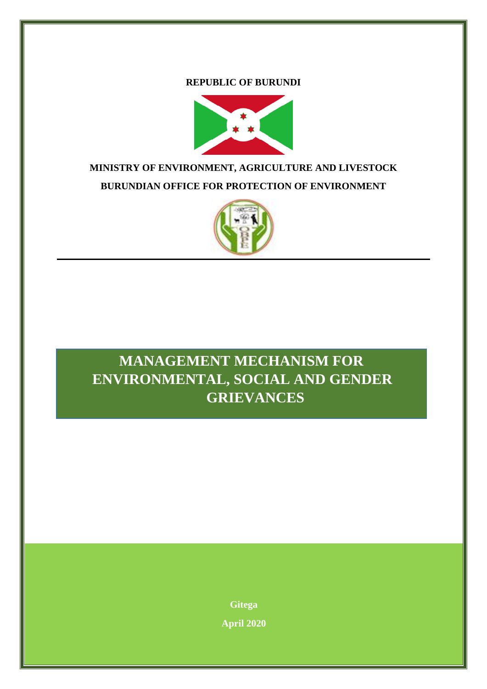**REPUBLIC OF BURUNDI**



## **MINISTRY OF ENVIRONMENT, AGRICULTURE AND LIVESTOCK BURUNDIAN OFFICE FOR PROTECTION OF ENVIRONMENT**



# L *MANAGEMENT MECHANISM FOR*  **ENVIRONMENTAL, SOCIAL AND GENDER GRIEVANCES**

**Gitega April 2020**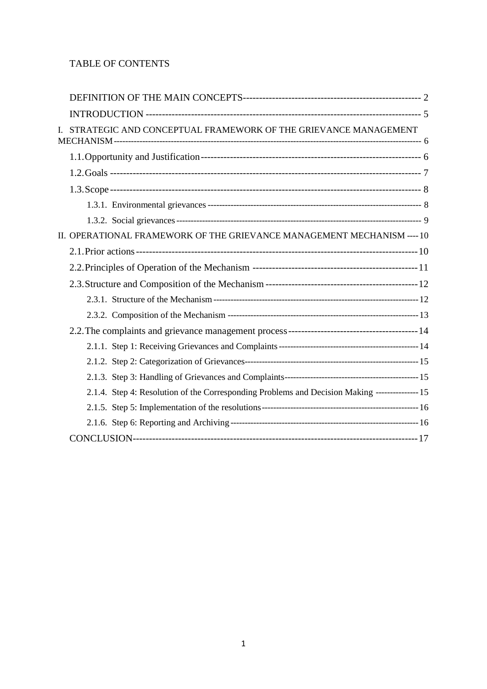## TABLE OF CONTENTS

|  | STRATEGIC AND CONCEPTUAL FRAMEWORK OF THE GRIEVANCE MANAGEMENT                                 |  |
|--|------------------------------------------------------------------------------------------------|--|
|  |                                                                                                |  |
|  |                                                                                                |  |
|  |                                                                                                |  |
|  |                                                                                                |  |
|  |                                                                                                |  |
|  | II. OPERATIONAL FRAMEWORK OF THE GRIEVANCE MANAGEMENT MECHANISM ---- 10                        |  |
|  |                                                                                                |  |
|  |                                                                                                |  |
|  |                                                                                                |  |
|  |                                                                                                |  |
|  |                                                                                                |  |
|  |                                                                                                |  |
|  |                                                                                                |  |
|  |                                                                                                |  |
|  |                                                                                                |  |
|  | 2.1.4. Step 4: Resolution of the Corresponding Problems and Decision Making --------------- 15 |  |
|  |                                                                                                |  |
|  |                                                                                                |  |
|  |                                                                                                |  |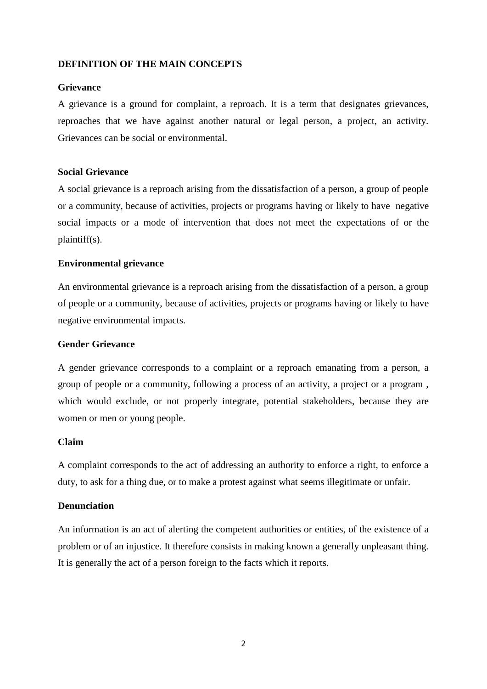## <span id="page-2-0"></span>**DEFINITION OF THE MAIN CONCEPTS**

## **Grievance**

A grievance is a ground for complaint, a reproach. It is a term that designates grievances, reproaches that we have against another natural or legal person, a project, an activity. Grievances can be social or environmental.

## **Social Grievance**

A social grievance is a reproach arising from the dissatisfaction of a person, a group of people or a community, because of activities, projects or programs having or likely to have negative social impacts or a mode of intervention that does not meet the expectations of or the plaintiff(s).

## **Environmental grievance**

An environmental grievance is a reproach arising from the dissatisfaction of a person, a group of people or a community, because of activities, projects or programs having or likely to have negative environmental impacts.

## **Gender Grievance**

A gender grievance corresponds to a complaint or a reproach emanating from a person, a group of people or a community, following a process of an activity, a project or a program , which would exclude, or not properly integrate, potential stakeholders, because they are women or men or young people.

#### **Claim**

A complaint corresponds to the act of addressing an authority to enforce a right, to enforce a duty, to ask for a thing due, or to make a protest against what seems illegitimate or unfair.

## **Denunciation**

An information is an act of alerting the competent authorities or entities, of the existence of a problem or of an injustice. It therefore consists in making known a generally unpleasant thing. It is generally the act of a person foreign to the facts which it reports.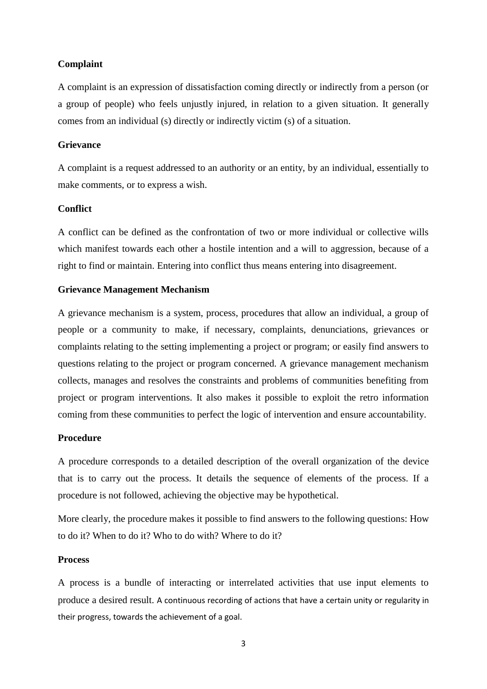#### **Complaint**

A complaint is an expression of dissatisfaction coming directly or indirectly from a person (or a group of people) who feels unjustly injured, in relation to a given situation. It generally comes from an individual (s) directly or indirectly victim (s) of a situation.

#### **Grievance**

A complaint is a request addressed to an authority or an entity, by an individual, essentially to make comments, or to express a wish.

## **Conflict**

A conflict can be defined as the confrontation of two or more individual or collective wills which manifest towards each other a hostile intention and a will to aggression, because of a right to find or maintain. Entering into conflict thus means entering into disagreement.

#### **Grievance Management Mechanism**

A grievance mechanism is a system, process, procedures that allow an individual, a group of people or a community to make, if necessary, complaints, denunciations, grievances or complaints relating to the setting implementing a project or program; or easily find answers to questions relating to the project or program concerned. A grievance management mechanism collects, manages and resolves the constraints and problems of communities benefiting from project or program interventions. It also makes it possible to exploit the retro information coming from these communities to perfect the logic of intervention and ensure accountability.

#### **Procedure**

A procedure corresponds to a detailed description of the overall organization of the device that is to carry out the process. It details the sequence of elements of the process. If a procedure is not followed, achieving the objective may be hypothetical.

More clearly, the procedure makes it possible to find answers to the following questions: How to do it? When to do it? Who to do with? Where to do it?

## **Process**

A process is a bundle of interacting or interrelated activities that use input elements to produce a desired result. A continuous recording of actions that have a certain unity or regularity in their progress, towards the achievement of a goal.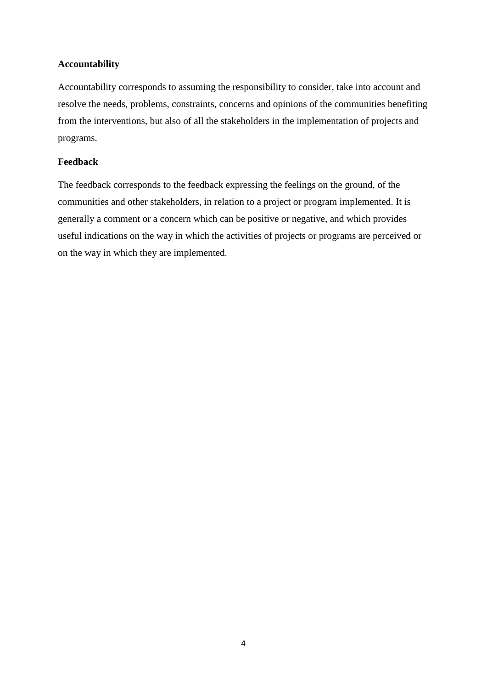## **Accountability**

Accountability corresponds to assuming the responsibility to consider, take into account and resolve the needs, problems, constraints, concerns and opinions of the communities benefiting from the interventions, but also of all the stakeholders in the implementation of projects and programs.

## **Feedback**

The feedback corresponds to the feedback expressing the feelings on the ground, of the communities and other stakeholders, in relation to a project or program implemented. It is generally a comment or a concern which can be positive or negative, and which provides useful indications on the way in which the activities of projects or programs are perceived or on the way in which they are implemented.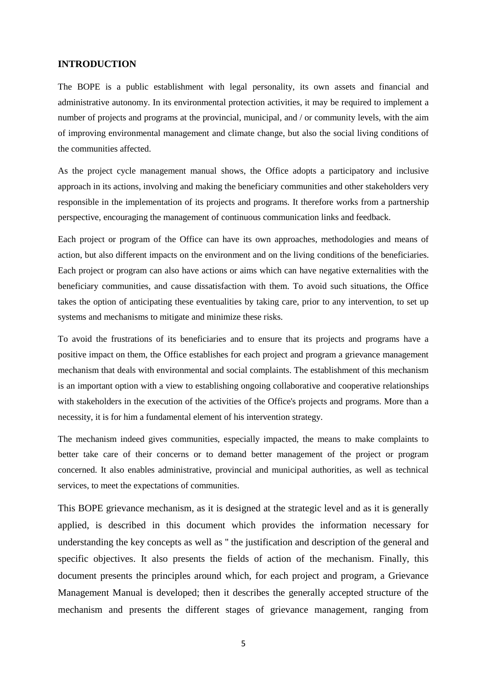#### <span id="page-5-0"></span>**INTRODUCTION**

The BOPE is a public establishment with legal personality, its own assets and financial and administrative autonomy. In its environmental protection activities, it may be required to implement a number of projects and programs at the provincial, municipal, and / or community levels, with the aim of improving environmental management and climate change, but also the social living conditions of the communities affected.

As the project cycle management manual shows, the Office adopts a participatory and inclusive approach in its actions, involving and making the beneficiary communities and other stakeholders very responsible in the implementation of its projects and programs. It therefore works from a partnership perspective, encouraging the management of continuous communication links and feedback.

Each project or program of the Office can have its own approaches, methodologies and means of action, but also different impacts on the environment and on the living conditions of the beneficiaries. Each project or program can also have actions or aims which can have negative externalities with the beneficiary communities, and cause dissatisfaction with them. To avoid such situations, the Office takes the option of anticipating these eventualities by taking care, prior to any intervention, to set up systems and mechanisms to mitigate and minimize these risks.

To avoid the frustrations of its beneficiaries and to ensure that its projects and programs have a positive impact on them, the Office establishes for each project and program a grievance management mechanism that deals with environmental and social complaints. The establishment of this mechanism is an important option with a view to establishing ongoing collaborative and cooperative relationships with stakeholders in the execution of the activities of the Office's projects and programs. More than a necessity, it is for him a fundamental element of his intervention strategy.

The mechanism indeed gives communities, especially impacted, the means to make complaints to better take care of their concerns or to demand better management of the project or program concerned. It also enables administrative, provincial and municipal authorities, as well as technical services, to meet the expectations of communities.

This BOPE grievance mechanism, as it is designed at the strategic level and as it is generally applied, is described in this document which provides the information necessary for understanding the key concepts as well as '' the justification and description of the general and specific objectives. It also presents the fields of action of the mechanism. Finally, this document presents the principles around which, for each project and program, a Grievance Management Manual is developed; then it describes the generally accepted structure of the mechanism and presents the different stages of grievance management, ranging from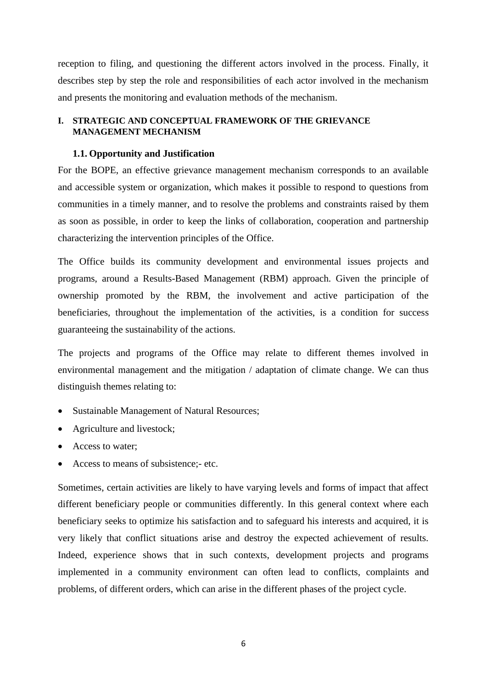reception to filing, and questioning the different actors involved in the process. Finally, it describes step by step the role and responsibilities of each actor involved in the mechanism and presents the monitoring and evaluation methods of the mechanism.

## <span id="page-6-0"></span>**I. STRATEGIC AND CONCEPTUAL FRAMEWORK OF THE GRIEVANCE MANAGEMENT MECHANISM**

#### <span id="page-6-1"></span>**1.1. Opportunity and Justification**

For the BOPE, an effective grievance management mechanism corresponds to an available and accessible system or organization, which makes it possible to respond to questions from communities in a timely manner, and to resolve the problems and constraints raised by them as soon as possible, in order to keep the links of collaboration, cooperation and partnership characterizing the intervention principles of the Office.

The Office builds its community development and environmental issues projects and programs, around a Results-Based Management (RBM) approach. Given the principle of ownership promoted by the RBM, the involvement and active participation of the beneficiaries, throughout the implementation of the activities, is a condition for success guaranteeing the sustainability of the actions.

The projects and programs of the Office may relate to different themes involved in environmental management and the mitigation / adaptation of climate change. We can thus distinguish themes relating to:

- Sustainable Management of Natural Resources;
- Agriculture and livestock;
- Access to water;
- Access to means of subsistence;- etc.

Sometimes, certain activities are likely to have varying levels and forms of impact that affect different beneficiary people or communities differently. In this general context where each beneficiary seeks to optimize his satisfaction and to safeguard his interests and acquired, it is very likely that conflict situations arise and destroy the expected achievement of results. Indeed, experience shows that in such contexts, development projects and programs implemented in a community environment can often lead to conflicts, complaints and problems, of different orders, which can arise in the different phases of the project cycle.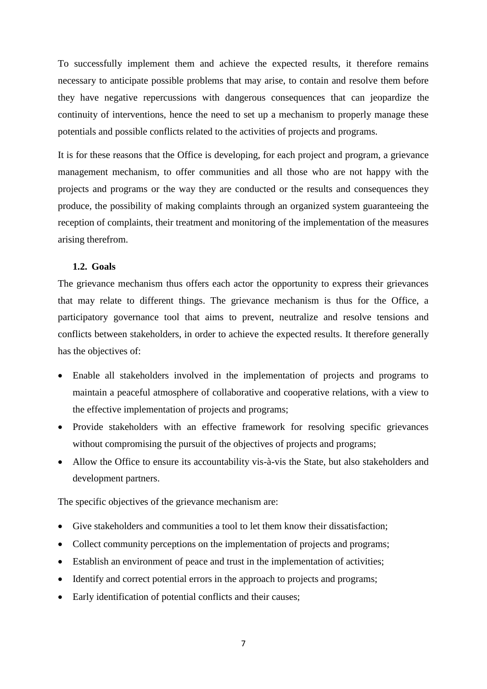To successfully implement them and achieve the expected results, it therefore remains necessary to anticipate possible problems that may arise, to contain and resolve them before they have negative repercussions with dangerous consequences that can jeopardize the continuity of interventions, hence the need to set up a mechanism to properly manage these potentials and possible conflicts related to the activities of projects and programs.

It is for these reasons that the Office is developing, for each project and program, a grievance management mechanism, to offer communities and all those who are not happy with the projects and programs or the way they are conducted or the results and consequences they produce, the possibility of making complaints through an organized system guaranteeing the reception of complaints, their treatment and monitoring of the implementation of the measures arising therefrom.

## <span id="page-7-0"></span>**1.2. Goals**

The grievance mechanism thus offers each actor the opportunity to express their grievances that may relate to different things. The grievance mechanism is thus for the Office, a participatory governance tool that aims to prevent, neutralize and resolve tensions and conflicts between stakeholders, in order to achieve the expected results. It therefore generally has the objectives of:

- Enable all stakeholders involved in the implementation of projects and programs to maintain a peaceful atmosphere of collaborative and cooperative relations, with a view to the effective implementation of projects and programs;
- Provide stakeholders with an effective framework for resolving specific grievances without compromising the pursuit of the objectives of projects and programs;
- Allow the Office to ensure its accountability vis-à-vis the State, but also stakeholders and development partners.

The specific objectives of the grievance mechanism are:

- Give stakeholders and communities a tool to let them know their dissatisfaction;
- Collect community perceptions on the implementation of projects and programs;
- Establish an environment of peace and trust in the implementation of activities;
- Identify and correct potential errors in the approach to projects and programs;
- Early identification of potential conflicts and their causes;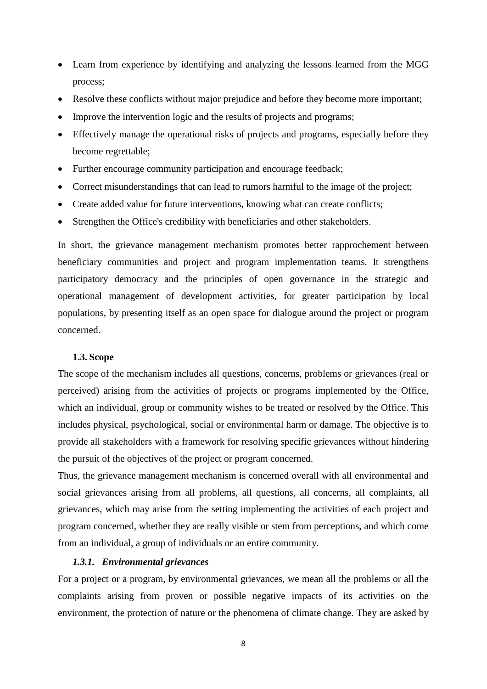- Learn from experience by identifying and analyzing the lessons learned from the MGG process;
- Resolve these conflicts without major prejudice and before they become more important;
- Improve the intervention logic and the results of projects and programs;
- Effectively manage the operational risks of projects and programs, especially before they become regrettable;
- Further encourage community participation and encourage feedback;
- Correct misunderstandings that can lead to rumors harmful to the image of the project;
- Create added value for future interventions, knowing what can create conflicts;
- Strengthen the Office's credibility with beneficiaries and other stakeholders.

In short, the grievance management mechanism promotes better rapprochement between beneficiary communities and project and program implementation teams. It strengthens participatory democracy and the principles of open governance in the strategic and operational management of development activities, for greater participation by local populations, by presenting itself as an open space for dialogue around the project or program concerned.

#### <span id="page-8-0"></span>**1.3. Scope**

The scope of the mechanism includes all questions, concerns, problems or grievances (real or perceived) arising from the activities of projects or programs implemented by the Office, which an individual, group or community wishes to be treated or resolved by the Office. This includes physical, psychological, social or environmental harm or damage. The objective is to provide all stakeholders with a framework for resolving specific grievances without hindering the pursuit of the objectives of the project or program concerned.

Thus, the grievance management mechanism is concerned overall with all environmental and social grievances arising from all problems, all questions, all concerns, all complaints, all grievances, which may arise from the setting implementing the activities of each project and program concerned, whether they are really visible or stem from perceptions, and which come from an individual, a group of individuals or an entire community.

## <span id="page-8-1"></span>*1.3.1. Environmental grievances*

For a project or a program, by environmental grievances, we mean all the problems or all the complaints arising from proven or possible negative impacts of its activities on the environment, the protection of nature or the phenomena of climate change. They are asked by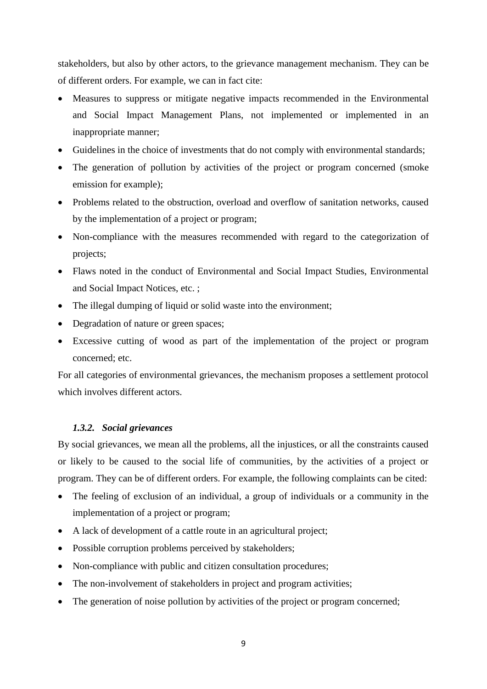stakeholders, but also by other actors, to the grievance management mechanism. They can be of different orders. For example, we can in fact cite:

- Measures to suppress or mitigate negative impacts recommended in the Environmental and Social Impact Management Plans, not implemented or implemented in an inappropriate manner;
- Guidelines in the choice of investments that do not comply with environmental standards;
- The generation of pollution by activities of the project or program concerned (smoke emission for example);
- Problems related to the obstruction, overload and overflow of sanitation networks, caused by the implementation of a project or program;
- Non-compliance with the measures recommended with regard to the categorization of projects;
- Flaws noted in the conduct of Environmental and Social Impact Studies, Environmental and Social Impact Notices, etc. ;
- The illegal dumping of liquid or solid waste into the environment;
- Degradation of nature or green spaces;
- Excessive cutting of wood as part of the implementation of the project or program concerned; etc.

For all categories of environmental grievances, the mechanism proposes a settlement protocol which involves different actors.

## <span id="page-9-0"></span>*1.3.2. Social grievances*

By social grievances, we mean all the problems, all the injustices, or all the constraints caused or likely to be caused to the social life of communities, by the activities of a project or program. They can be of different orders. For example, the following complaints can be cited:

- The feeling of exclusion of an individual, a group of individuals or a community in the implementation of a project or program;
- A lack of development of a cattle route in an agricultural project;
- Possible corruption problems perceived by stakeholders;
- Non-compliance with public and citizen consultation procedures;
- The non-involvement of stakeholders in project and program activities;
- The generation of noise pollution by activities of the project or program concerned;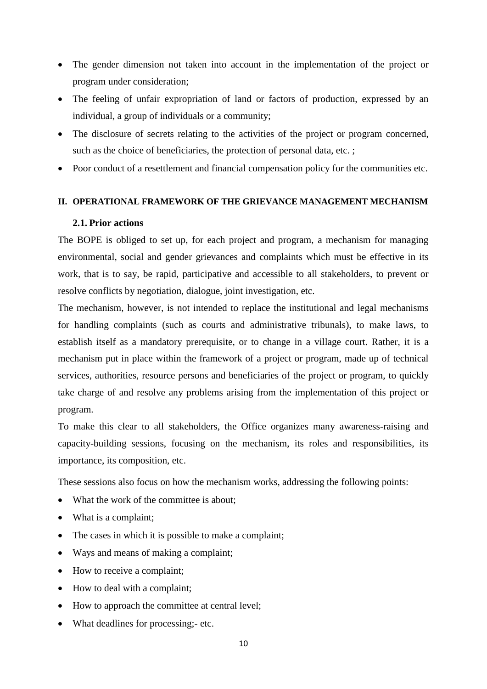- The gender dimension not taken into account in the implementation of the project or program under consideration;
- The feeling of unfair expropriation of land or factors of production, expressed by an individual, a group of individuals or a community;
- The disclosure of secrets relating to the activities of the project or program concerned, such as the choice of beneficiaries, the protection of personal data, etc.;
- Poor conduct of a resettlement and financial compensation policy for the communities etc.

## <span id="page-10-0"></span>**II. OPERATIONAL FRAMEWORK OF THE GRIEVANCE MANAGEMENT MECHANISM**

## <span id="page-10-1"></span>**2.1. Prior actions**

The BOPE is obliged to set up, for each project and program, a mechanism for managing environmental, social and gender grievances and complaints which must be effective in its work, that is to say, be rapid, participative and accessible to all stakeholders, to prevent or resolve conflicts by negotiation, dialogue, joint investigation, etc.

The mechanism, however, is not intended to replace the institutional and legal mechanisms for handling complaints (such as courts and administrative tribunals), to make laws, to establish itself as a mandatory prerequisite, or to change in a village court. Rather, it is a mechanism put in place within the framework of a project or program, made up of technical services, authorities, resource persons and beneficiaries of the project or program, to quickly take charge of and resolve any problems arising from the implementation of this project or program.

To make this clear to all stakeholders, the Office organizes many awareness-raising and capacity-building sessions, focusing on the mechanism, its roles and responsibilities, its importance, its composition, etc.

These sessions also focus on how the mechanism works, addressing the following points:

- What the work of the committee is about:
- What is a complaint;
- The cases in which it is possible to make a complaint;
- Ways and means of making a complaint;
- How to receive a complaint;
- How to deal with a complaint;
- How to approach the committee at central level;
- What deadlines for processing;- etc.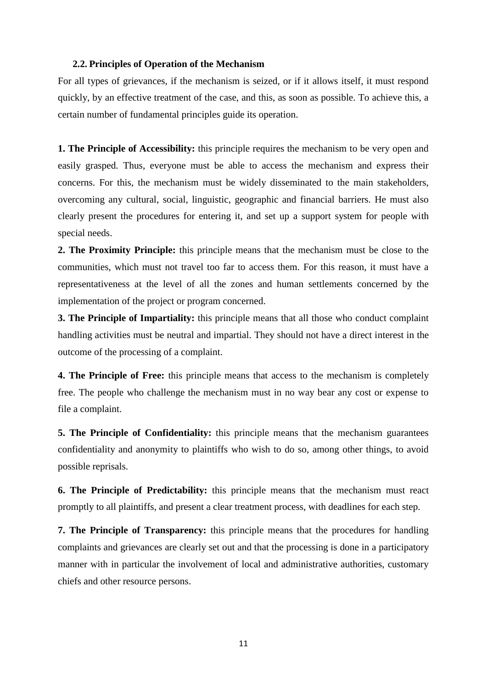#### <span id="page-11-0"></span>**2.2. Principles of Operation of the Mechanism**

For all types of grievances, if the mechanism is seized, or if it allows itself, it must respond quickly, by an effective treatment of the case, and this, as soon as possible. To achieve this, a certain number of fundamental principles guide its operation.

**1. The Principle of Accessibility:** this principle requires the mechanism to be very open and easily grasped. Thus, everyone must be able to access the mechanism and express their concerns. For this, the mechanism must be widely disseminated to the main stakeholders, overcoming any cultural, social, linguistic, geographic and financial barriers. He must also clearly present the procedures for entering it, and set up a support system for people with special needs.

**2. The Proximity Principle:** this principle means that the mechanism must be close to the communities, which must not travel too far to access them. For this reason, it must have a representativeness at the level of all the zones and human settlements concerned by the implementation of the project or program concerned.

**3. The Principle of Impartiality:** this principle means that all those who conduct complaint handling activities must be neutral and impartial. They should not have a direct interest in the outcome of the processing of a complaint.

**4. The Principle of Free:** this principle means that access to the mechanism is completely free. The people who challenge the mechanism must in no way bear any cost or expense to file a complaint.

**5. The Principle of Confidentiality:** this principle means that the mechanism guarantees confidentiality and anonymity to plaintiffs who wish to do so, among other things, to avoid possible reprisals.

**6. The Principle of Predictability:** this principle means that the mechanism must react promptly to all plaintiffs, and present a clear treatment process, with deadlines for each step.

**7. The Principle of Transparency:** this principle means that the procedures for handling complaints and grievances are clearly set out and that the processing is done in a participatory manner with in particular the involvement of local and administrative authorities, customary chiefs and other resource persons.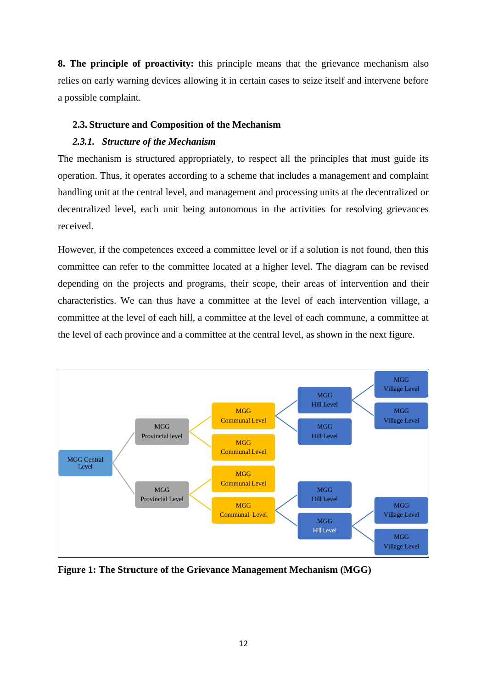**8. The principle of proactivity:** this principle means that the grievance mechanism also relies on early warning devices allowing it in certain cases to seize itself and intervene before a possible complaint.

## <span id="page-12-0"></span>**2.3. Structure and Composition of the Mechanism**

## <span id="page-12-1"></span>*2.3.1. Structure of the Mechanism*

The mechanism is structured appropriately, to respect all the principles that must guide its operation. Thus, it operates according to a scheme that includes a management and complaint handling unit at the central level, and management and processing units at the decentralized or decentralized level, each unit being autonomous in the activities for resolving grievances received.

However, if the competences exceed a committee level or if a solution is not found, then this committee can refer to the committee located at a higher level. The diagram can be revised depending on the projects and programs, their scope, their areas of intervention and their characteristics. We can thus have a committee at the level of each intervention village, a committee at the level of each hill, a committee at the level of each commune, a committee at the level of each province and a committee at the central level, as shown in the next figure.



**Figure 1: The Structure of the Grievance Management Mechanism (MGG)**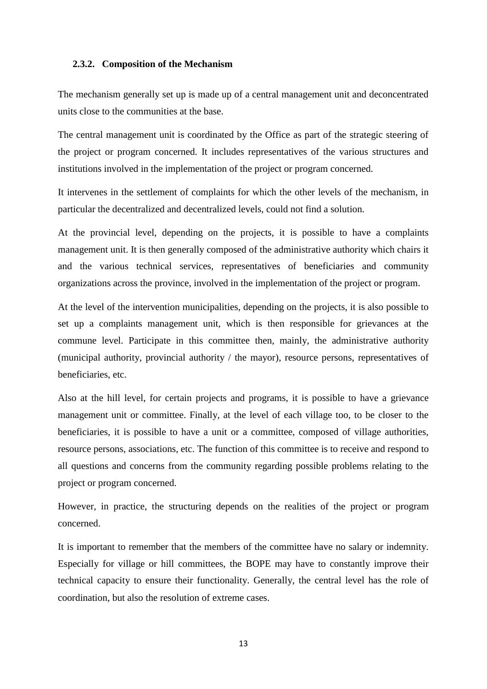#### <span id="page-13-0"></span>**2.3.2. Composition of the Mechanism**

The mechanism generally set up is made up of a central management unit and deconcentrated units close to the communities at the base.

The central management unit is coordinated by the Office as part of the strategic steering of the project or program concerned. It includes representatives of the various structures and institutions involved in the implementation of the project or program concerned.

It intervenes in the settlement of complaints for which the other levels of the mechanism, in particular the decentralized and decentralized levels, could not find a solution.

At the provincial level, depending on the projects, it is possible to have a complaints management unit. It is then generally composed of the administrative authority which chairs it and the various technical services, representatives of beneficiaries and community organizations across the province, involved in the implementation of the project or program.

At the level of the intervention municipalities, depending on the projects, it is also possible to set up a complaints management unit, which is then responsible for grievances at the commune level. Participate in this committee then, mainly, the administrative authority (municipal authority, provincial authority / the mayor), resource persons, representatives of beneficiaries, etc.

Also at the hill level, for certain projects and programs, it is possible to have a grievance management unit or committee. Finally, at the level of each village too, to be closer to the beneficiaries, it is possible to have a unit or a committee, composed of village authorities, resource persons, associations, etc. The function of this committee is to receive and respond to all questions and concerns from the community regarding possible problems relating to the project or program concerned.

However, in practice, the structuring depends on the realities of the project or program concerned.

It is important to remember that the members of the committee have no salary or indemnity. Especially for village or hill committees, the BOPE may have to constantly improve their technical capacity to ensure their functionality. Generally, the central level has the role of coordination, but also the resolution of extreme cases.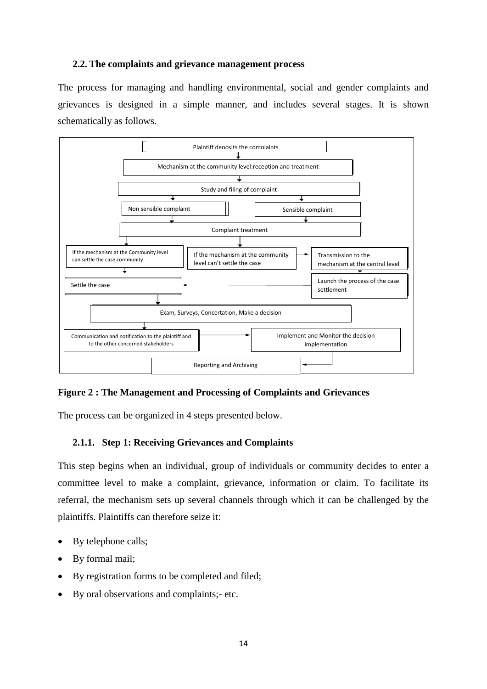## <span id="page-14-0"></span>**2.2. The complaints and grievance management process**

The process for managing and handling environmental, social and gender complaints and grievances is designed in a simple manner, and includes several stages. It is shown schematically as follows.



#### **Figure 2 : The Management and Processing of Complaints and Grievances**

The process can be organized in 4 steps presented below.

## <span id="page-14-1"></span>**2.1.1. Step 1: Receiving Grievances and Complaints**

This step begins when an individual, group of individuals or community decides to enter a committee level to make a complaint, grievance, information or claim. To facilitate its referral, the mechanism sets up several channels through which it can be challenged by the plaintiffs. Plaintiffs can therefore seize it:

- By telephone calls;
- By formal mail;
- By registration forms to be completed and filed;
- By oral observations and complaints;- etc.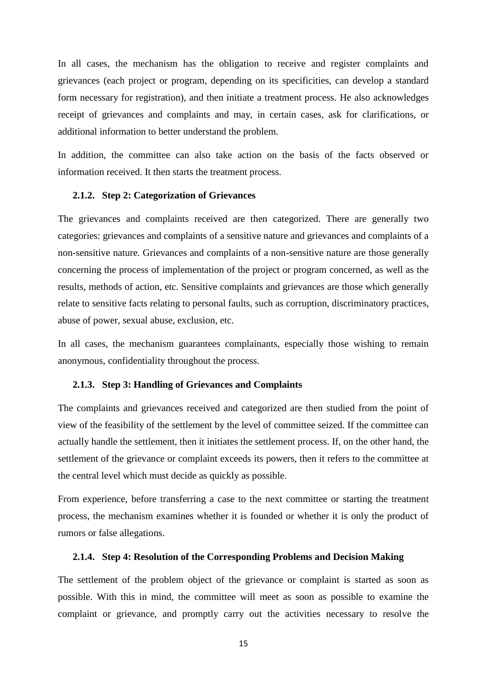In all cases, the mechanism has the obligation to receive and register complaints and grievances (each project or program, depending on its specificities, can develop a standard form necessary for registration), and then initiate a treatment process. He also acknowledges receipt of grievances and complaints and may, in certain cases, ask for clarifications, or additional information to better understand the problem.

In addition, the committee can also take action on the basis of the facts observed or information received. It then starts the treatment process.

#### <span id="page-15-0"></span>**2.1.2. Step 2: Categorization of Grievances**

The grievances and complaints received are then categorized. There are generally two categories: grievances and complaints of a sensitive nature and grievances and complaints of a non-sensitive nature. Grievances and complaints of a non-sensitive nature are those generally concerning the process of implementation of the project or program concerned, as well as the results, methods of action, etc. Sensitive complaints and grievances are those which generally relate to sensitive facts relating to personal faults, such as corruption, discriminatory practices, abuse of power, sexual abuse, exclusion, etc.

In all cases, the mechanism guarantees complainants, especially those wishing to remain anonymous, confidentiality throughout the process.

#### <span id="page-15-1"></span>**2.1.3. Step 3: Handling of Grievances and Complaints**

The complaints and grievances received and categorized are then studied from the point of view of the feasibility of the settlement by the level of committee seized. If the committee can actually handle the settlement, then it initiates the settlement process. If, on the other hand, the settlement of the grievance or complaint exceeds its powers, then it refers to the committee at the central level which must decide as quickly as possible.

From experience, before transferring a case to the next committee or starting the treatment process, the mechanism examines whether it is founded or whether it is only the product of rumors or false allegations.

#### <span id="page-15-2"></span>**2.1.4. Step 4: Resolution of the Corresponding Problems and Decision Making**

The settlement of the problem object of the grievance or complaint is started as soon as possible. With this in mind, the committee will meet as soon as possible to examine the complaint or grievance, and promptly carry out the activities necessary to resolve the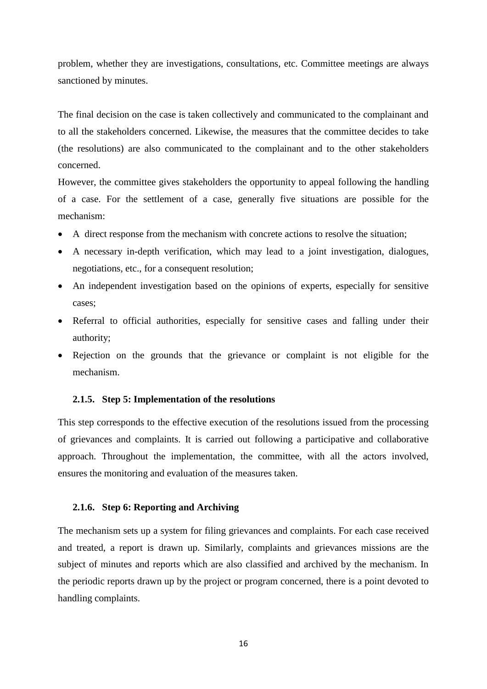problem, whether they are investigations, consultations, etc. Committee meetings are always sanctioned by minutes.

The final decision on the case is taken collectively and communicated to the complainant and to all the stakeholders concerned. Likewise, the measures that the committee decides to take (the resolutions) are also communicated to the complainant and to the other stakeholders concerned.

However, the committee gives stakeholders the opportunity to appeal following the handling of a case. For the settlement of a case, generally five situations are possible for the mechanism:

- A direct response from the mechanism with concrete actions to resolve the situation;
- A necessary in-depth verification, which may lead to a joint investigation, dialogues, negotiations, etc., for a consequent resolution;
- An independent investigation based on the opinions of experts, especially for sensitive cases;
- Referral to official authorities, especially for sensitive cases and falling under their authority;
- Rejection on the grounds that the grievance or complaint is not eligible for the mechanism.

#### <span id="page-16-0"></span>**2.1.5. Step 5: Implementation of the resolutions**

This step corresponds to the effective execution of the resolutions issued from the processing of grievances and complaints. It is carried out following a participative and collaborative approach. Throughout the implementation, the committee, with all the actors involved, ensures the monitoring and evaluation of the measures taken.

#### <span id="page-16-1"></span>**2.1.6. Step 6: Reporting and Archiving**

The mechanism sets up a system for filing grievances and complaints. For each case received and treated, a report is drawn up. Similarly, complaints and grievances missions are the subject of minutes and reports which are also classified and archived by the mechanism. In the periodic reports drawn up by the project or program concerned, there is a point devoted to handling complaints.